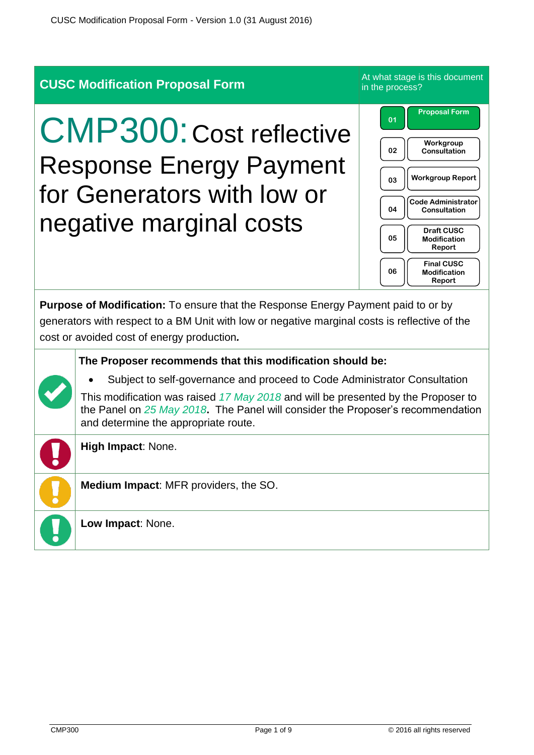|                                                                                                                                                                                                                                         | <b>CUSC Modification Proposal Form</b>                                                                                                                                                                            | At what stage is this document<br>in the process?                                                                                                                                                                                                                         |  |  |
|-----------------------------------------------------------------------------------------------------------------------------------------------------------------------------------------------------------------------------------------|-------------------------------------------------------------------------------------------------------------------------------------------------------------------------------------------------------------------|---------------------------------------------------------------------------------------------------------------------------------------------------------------------------------------------------------------------------------------------------------------------------|--|--|
| <b>CMP300: Cost reflective</b><br><b>Response Energy Payment</b><br>for Generators with low or<br>negative marginal costs                                                                                                               |                                                                                                                                                                                                                   | <b>Proposal Form</b><br>01<br>Workgroup<br>02<br>Consultation<br><b>Workgroup Report</b><br>03<br><b>Code Administrator</b><br>04<br>Consultation<br><b>Draft CUSC</b><br>05<br><b>Modification</b><br>Report<br><b>Final CUSC</b><br>06<br><b>Modification</b><br>Report |  |  |
| <b>Purpose of Modification:</b> To ensure that the Response Energy Payment paid to or by<br>generators with respect to a BM Unit with low or negative marginal costs is reflective of the<br>cost or avoided cost of energy production. |                                                                                                                                                                                                                   |                                                                                                                                                                                                                                                                           |  |  |
| The Proposer recommends that this modification should be:                                                                                                                                                                               |                                                                                                                                                                                                                   |                                                                                                                                                                                                                                                                           |  |  |
|                                                                                                                                                                                                                                         | Subject to self-governance and proceed to Code Administrator Consultation                                                                                                                                         |                                                                                                                                                                                                                                                                           |  |  |
|                                                                                                                                                                                                                                         | This modification was raised 17 May 2018 and will be presented by the Proposer to<br>the Panel on $25$ May $2018$ . The Panel will consider the Proposer's recommendation<br>and determine the appropriate route. |                                                                                                                                                                                                                                                                           |  |  |
|                                                                                                                                                                                                                                         | <b>High Impact: None.</b>                                                                                                                                                                                         |                                                                                                                                                                                                                                                                           |  |  |
|                                                                                                                                                                                                                                         | Medium Impact: MFR providers, the SO.                                                                                                                                                                             |                                                                                                                                                                                                                                                                           |  |  |
|                                                                                                                                                                                                                                         | Low Impact: None.                                                                                                                                                                                                 |                                                                                                                                                                                                                                                                           |  |  |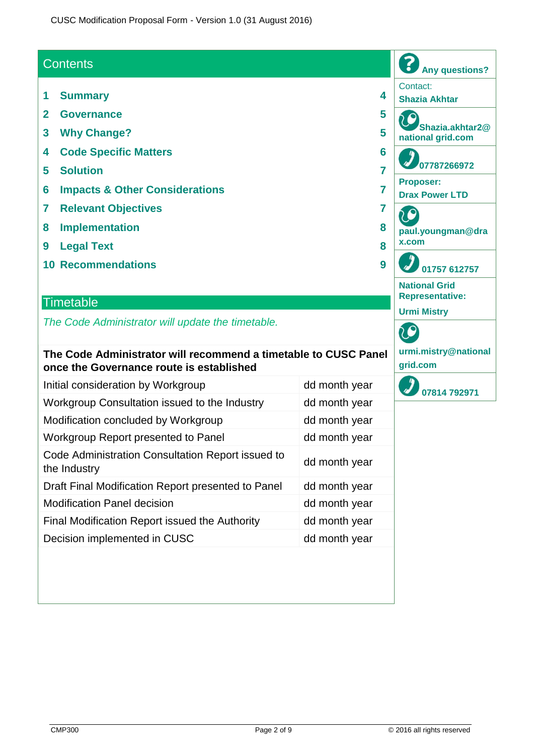### **Contents**

- **1 Summary 4**
- **2 Governance 5**
- **3 Why Change? 5**
- **4 Code Specific Matters 6**
- **5 Solution 7**
- **6 Impacts & Other Considerations 7**
- **7 Relevant Objectives 7**
- **8 Implementation 8**
- **9 Legal Text 8**
- **10 Recommendations 9**

#### **Timetable**

*The Code Administrator will update the timetable.*

#### **The Code Administrator will recommend a timetable to CUSC Panel once the Governance route is established**

| Initial consideration by Workgroup                                | dd month year |
|-------------------------------------------------------------------|---------------|
| Workgroup Consultation issued to the Industry                     | dd month year |
| Modification concluded by Workgroup                               | dd month year |
| Workgroup Report presented to Panel                               | dd month year |
| Code Administration Consultation Report issued to<br>the Industry | dd month year |
| Draft Final Modification Report presented to Panel                | dd month year |
| <b>Modification Panel decision</b>                                | dd month year |
| Final Modification Report issued the Authority                    | dd month year |
| Decision implemented in CUSC                                      | dd month year |

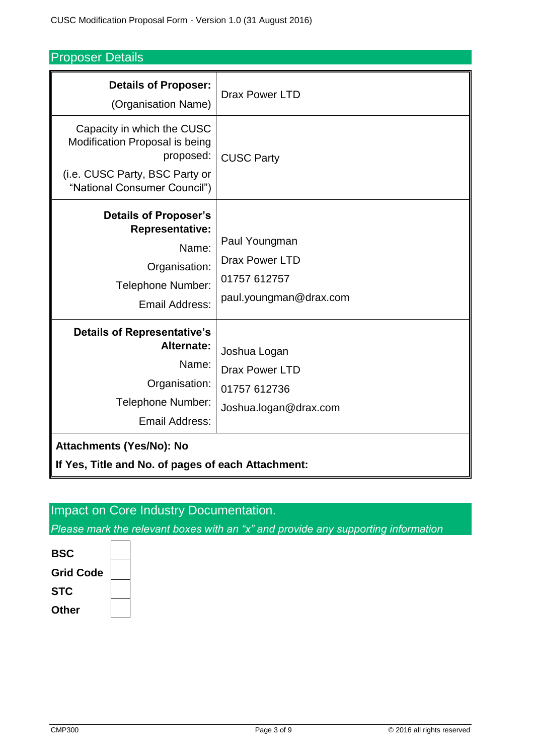# Proposer Details

| <b>Details of Proposer:</b><br>(Organisation Name)                                                                                          | <b>Drax Power LTD</b>                                                            |  |  |  |
|---------------------------------------------------------------------------------------------------------------------------------------------|----------------------------------------------------------------------------------|--|--|--|
| Capacity in which the CUSC<br>Modification Proposal is being<br>proposed:<br>(i.e. CUSC Party, BSC Party or<br>"National Consumer Council") | <b>CUSC Party</b>                                                                |  |  |  |
| <b>Details of Proposer's</b><br><b>Representative:</b><br>Name:<br>Organisation:<br>Telephone Number:<br><b>Email Address:</b>              | Paul Youngman<br><b>Drax Power LTD</b><br>01757 612757<br>paul.youngman@drax.com |  |  |  |
| <b>Details of Representative's</b><br>Alternate:<br>Name:<br>Organisation:<br>Telephone Number:<br><b>Email Address:</b>                    | Joshua Logan<br><b>Drax Power LTD</b><br>01757 612736<br>Joshua.logan@drax.com   |  |  |  |
| <b>Attachments (Yes/No): No</b><br>If Yes, Title and No. of pages of each Attachment:                                                       |                                                                                  |  |  |  |
|                                                                                                                                             |                                                                                  |  |  |  |

# Impact on Core Industry Documentation.

*Please mark the relevant boxes with an "x" and provide any supporting information*

**BSC Grid Code STC Other**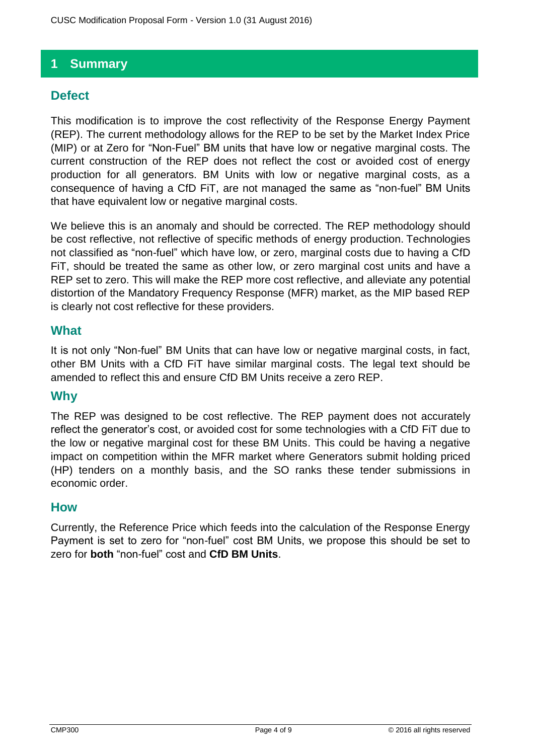# **1 Summary**

## **Defect**

This modification is to improve the cost reflectivity of the Response Energy Payment (REP). The current methodology allows for the REP to be set by the Market Index Price (MIP) or at Zero for "Non-Fuel" BM units that have low or negative marginal costs. The current construction of the REP does not reflect the cost or avoided cost of energy production for all generators. BM Units with low or negative marginal costs, as a consequence of having a CfD FiT, are not managed the same as "non-fuel" BM Units that have equivalent low or negative marginal costs.

We believe this is an anomaly and should be corrected. The REP methodology should be cost reflective, not reflective of specific methods of energy production. Technologies not classified as "non-fuel" which have low, or zero, marginal costs due to having a CfD FiT, should be treated the same as other low, or zero marginal cost units and have a REP set to zero. This will make the REP more cost reflective, and alleviate any potential distortion of the Mandatory Frequency Response (MFR) market, as the MIP based REP is clearly not cost reflective for these providers.

#### **What**

It is not only "Non-fuel" BM Units that can have low or negative marginal costs, in fact, other BM Units with a CfD FiT have similar marginal costs. The legal text should be amended to reflect this and ensure CfD BM Units receive a zero REP.

## **Why**

The REP was designed to be cost reflective. The REP payment does not accurately reflect the generator's cost, or avoided cost for some technologies with a CfD FiT due to the low or negative marginal cost for these BM Units. This could be having a negative impact on competition within the MFR market where Generators submit holding priced (HP) tenders on a monthly basis, and the SO ranks these tender submissions in economic order.

#### **How**

Currently, the Reference Price which feeds into the calculation of the Response Energy Payment is set to zero for "non-fuel" cost BM Units, we propose this should be set to zero for **both** "non-fuel" cost and **CfD BM Units**.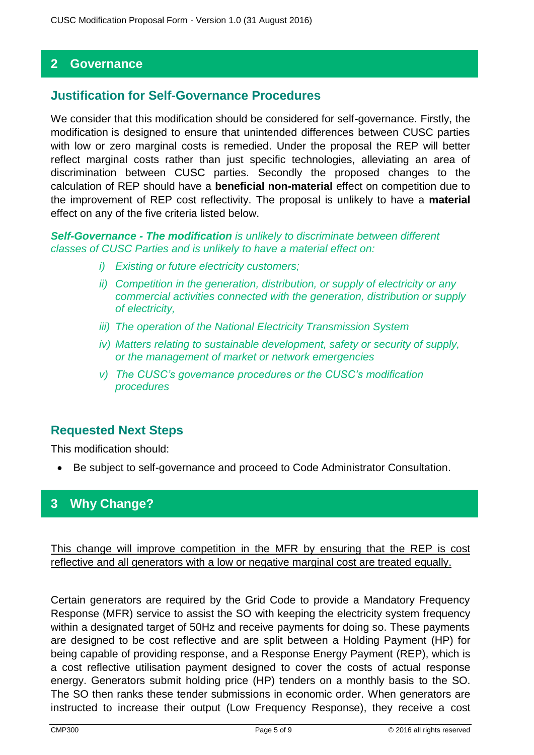#### **2 Governance**

#### **Justification for Self-Governance Procedures**

We consider that this modification should be considered for self-governance. Firstly, the modification is designed to ensure that unintended differences between CUSC parties with low or zero marginal costs is remedied. Under the proposal the REP will better reflect marginal costs rather than just specific technologies, alleviating an area of discrimination between CUSC parties. Secondly the proposed changes to the calculation of REP should have a **beneficial non-material** effect on competition due to the improvement of REP cost reflectivity. The proposal is unlikely to have a **material** effect on any of the five criteria listed below.

*Self-Governance - The modification is unlikely to discriminate between different classes of CUSC Parties and is unlikely to have a material effect on:*

- *i) Existing or future electricity customers;*
- *ii) Competition in the generation, distribution, or supply of electricity or any commercial activities connected with the generation, distribution or supply of electricity,*
- *iii) The operation of the National Electricity Transmission System*
- *iv) Matters relating to sustainable development, safety or security of supply, or the management of market or network emergencies*
- *v) The CUSC's governance procedures or the CUSC's modification procedures*

#### **Requested Next Steps**

This modification should:

Be subject to self-governance and proceed to Code Administrator Consultation.

## **3 Why Change?**

This change will improve competition in the MFR by ensuring that the REP is cost reflective and all generators with a low or negative marginal cost are treated equally.

Certain generators are required by the Grid Code to provide a Mandatory Frequency Response (MFR) service to assist the SO with keeping the electricity system frequency within a designated target of 50Hz and receive payments for doing so. These payments are designed to be cost reflective and are split between a Holding Payment (HP) for being capable of providing response, and a Response Energy Payment (REP), which is a cost reflective utilisation payment designed to cover the costs of actual response energy. Generators submit holding price (HP) tenders on a monthly basis to the SO. The SO then ranks these tender submissions in economic order. When generators are instructed to increase their output (Low Frequency Response), they receive a cost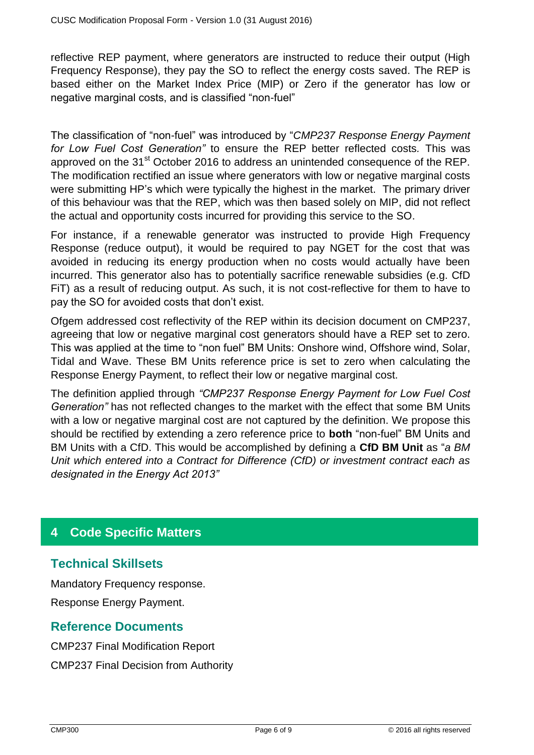reflective REP payment, where generators are instructed to reduce their output (High Frequency Response), they pay the SO to reflect the energy costs saved. The REP is based either on the Market Index Price (MIP) or Zero if the generator has low or negative marginal costs, and is classified "non-fuel"

The classification of "non-fuel" was introduced by "*CMP237 Response Energy Payment for Low Fuel Cost Generation"* to ensure the REP better reflected costs*.* This was approved on the 31<sup>st</sup> October 2016 to address an unintended consequence of the REP. The modification rectified an issue where generators with low or negative marginal costs were submitting HP's which were typically the highest in the market. The primary driver of this behaviour was that the REP, which was then based solely on MIP, did not reflect the actual and opportunity costs incurred for providing this service to the SO.

For instance, if a renewable generator was instructed to provide High Frequency Response (reduce output), it would be required to pay NGET for the cost that was avoided in reducing its energy production when no costs would actually have been incurred. This generator also has to potentially sacrifice renewable subsidies (e.g. CfD FiT) as a result of reducing output. As such, it is not cost-reflective for them to have to pay the SO for avoided costs that don't exist.

Ofgem addressed cost reflectivity of the REP within its decision document on CMP237, agreeing that low or negative marginal cost generators should have a REP set to zero. This was applied at the time to "non fuel" BM Units: Onshore wind, Offshore wind, Solar, Tidal and Wave. These BM Units reference price is set to zero when calculating the Response Energy Payment, to reflect their low or negative marginal cost.

The definition applied through *"CMP237 Response Energy Payment for Low Fuel Cost Generation"* has not reflected changes to the market with the effect that some BM Units with a low or negative marginal cost are not captured by the definition. We propose this should be rectified by extending a zero reference price to **both** "non-fuel" BM Units and BM Units with a CfD. This would be accomplished by defining a **CfD BM Unit** as "*a BM Unit which entered into a Contract for Difference (CfD) or investment contract each as designated in the Energy Act 2013"*

# **4 Code Specific Matters**

## **Technical Skillsets**

Mandatory Frequency response. Response Energy Payment.

## **Reference Documents**

CMP237 Final Modification Report CMP237 Final Decision from Authority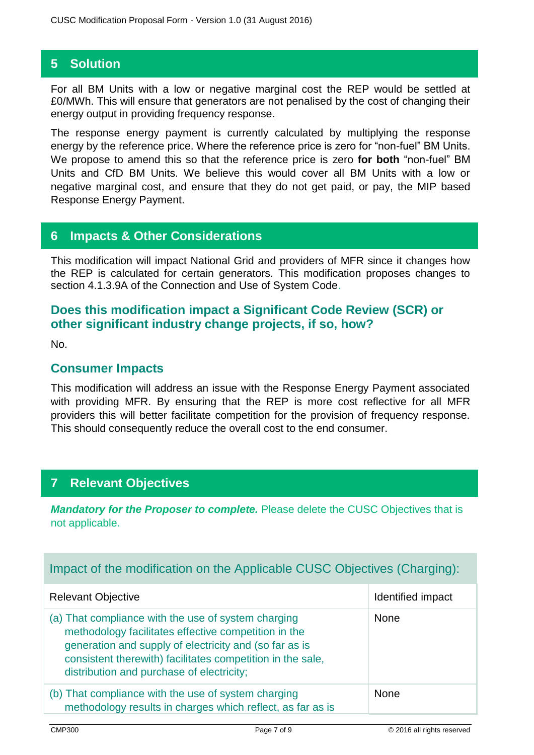## **5 Solution**

For all BM Units with a low or negative marginal cost the REP would be settled at £0/MWh. This will ensure that generators are not penalised by the cost of changing their energy output in providing frequency response.

The response energy payment is currently calculated by multiplying the response energy by the reference price. Where the reference price is zero for "non-fuel" BM Units. We propose to amend this so that the reference price is zero **for both** "non-fuel" BM Units and CfD BM Units. We believe this would cover all BM Units with a low or negative marginal cost, and ensure that they do not get paid, or pay, the MIP based Response Energy Payment.

## **6 Impacts & Other Considerations**

This modification will impact National Grid and providers of MFR since it changes how the REP is calculated for certain generators. This modification proposes changes to section 4.1.3.9A of the Connection and Use of System Code.

## **Does this modification impact a Significant Code Review (SCR) or other significant industry change projects, if so, how?**

No.

#### **Consumer Impacts**

This modification will address an issue with the Response Energy Payment associated with providing MFR. By ensuring that the REP is more cost reflective for all MFR providers this will better facilitate competition for the provision of frequency response. This should consequently reduce the overall cost to the end consumer.

# **7 Relevant Objectives**

*Mandatory for the Proposer to complete.* Please delete the CUSC Objectives that is not applicable.

## Impact of the modification on the Applicable CUSC Objectives (Charging):

| <b>Relevant Objective</b>                                                                                                                                                                                                                                                        | Identified impact |
|----------------------------------------------------------------------------------------------------------------------------------------------------------------------------------------------------------------------------------------------------------------------------------|-------------------|
| (a) That compliance with the use of system charging<br>methodology facilitates effective competition in the<br>generation and supply of electricity and (so far as is<br>consistent therewith) facilitates competition in the sale,<br>distribution and purchase of electricity; | <b>None</b>       |
| (b) That compliance with the use of system charging<br>methodology results in charges which reflect, as far as is                                                                                                                                                                | <b>None</b>       |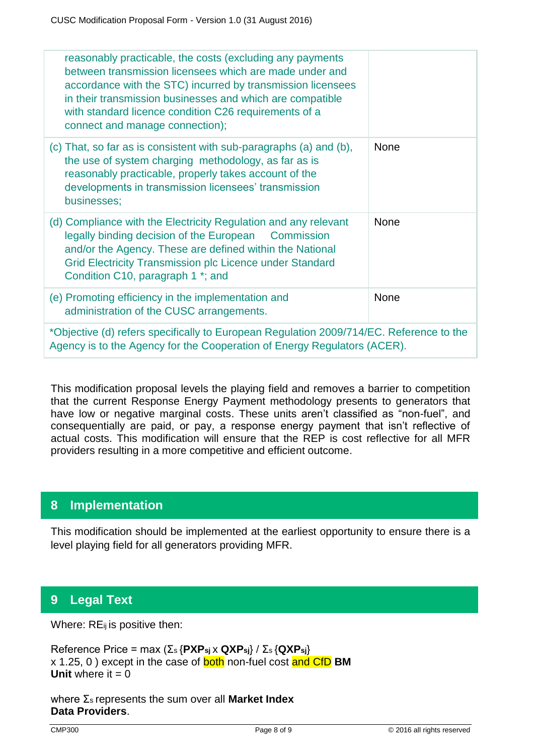| reasonably practicable, the costs (excluding any payments<br>between transmission licensees which are made under and<br>accordance with the STC) incurred by transmission licensees<br>in their transmission businesses and which are compatible<br>with standard licence condition C26 requirements of a<br>connect and manage connection); |             |  |
|----------------------------------------------------------------------------------------------------------------------------------------------------------------------------------------------------------------------------------------------------------------------------------------------------------------------------------------------|-------------|--|
| (c) That, so far as is consistent with sub-paragraphs (a) and (b),<br>the use of system charging methodology, as far as is<br>reasonably practicable, properly takes account of the<br>developments in transmission licensees' transmission<br>businesses;                                                                                   | <b>None</b> |  |
| (d) Compliance with the Electricity Regulation and any relevant<br>legally binding decision of the European<br>Commission<br>and/or the Agency. These are defined within the National<br><b>Grid Electricity Transmission plc Licence under Standard</b><br>Condition C10, paragraph 1 *; and                                                | <b>None</b> |  |
| (e) Promoting efficiency in the implementation and<br>administration of the CUSC arrangements.                                                                                                                                                                                                                                               | <b>None</b> |  |
| *Objective (d) refers specifically to European Regulation 2009/714/EC. Reference to the<br>Agency is to the Agency for the Cooperation of Energy Regulators (ACER).                                                                                                                                                                          |             |  |

This modification proposal levels the playing field and removes a barrier to competition that the current Response Energy Payment methodology presents to generators that have low or negative marginal costs. These units aren't classified as "non-fuel", and consequentially are paid, or pay, a response energy payment that isn't reflective of actual costs. This modification will ensure that the REP is cost reflective for all MFR providers resulting in a more competitive and efficient outcome.

# **8 Implementation**

This modification should be implemented at the earliest opportunity to ensure there is a level playing field for all generators providing MFR.

# **9 Legal Text**

Where: RE<sub>ij</sub> is positive then:

Reference Price = max (Σs {**PXPsj** x **QXPsj**} / Σs {**QXPsj**} x 1.25, 0 ) except in the case of both non-fuel cost and CfD **BM Unit** where it  $= 0$ 

where Σs represents the sum over all **Market Index Data Providers**.